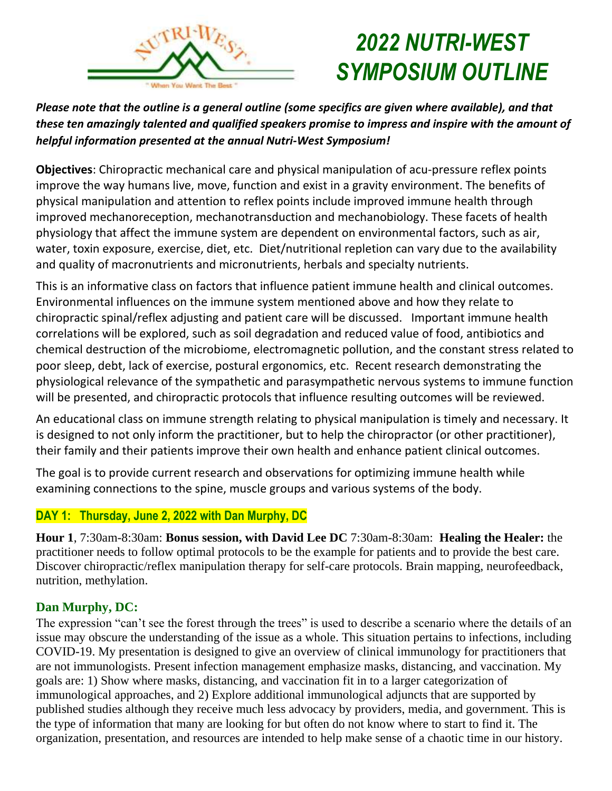

# *2022 NUTRI-WEST SYMPOSIUM OUTLINE*

*Please note that the outline is a general outline (some specifics are given where available), and that these ten amazingly talented and qualified speakers promise to impress and inspire with the amount of helpful information presented at the annual Nutri-West Symposium!*

**Objectives**: Chiropractic mechanical care and physical manipulation of acu-pressure reflex points improve the way humans live, move, function and exist in a gravity environment. The benefits of physical manipulation and attention to reflex points include improved immune health through improved mechanoreception, mechanotransduction and mechanobiology. These facets of health physiology that affect the immune system are dependent on environmental factors, such as air, water, toxin exposure, exercise, diet, etc. Diet/nutritional repletion can vary due to the availability and quality of macronutrients and micronutrients, herbals and specialty nutrients.

This is an informative class on factors that influence patient immune health and clinical outcomes. Environmental influences on the immune system mentioned above and how they relate to chiropractic spinal/reflex adjusting and patient care will be discussed. Important immune health correlations will be explored, such as soil degradation and reduced value of food, antibiotics and chemical destruction of the microbiome, electromagnetic pollution, and the constant stress related to poor sleep, debt, lack of exercise, postural ergonomics, etc. Recent research demonstrating the physiological relevance of the sympathetic and parasympathetic nervous systems to immune function will be presented, and chiropractic protocols that influence resulting outcomes will be reviewed.

An educational class on immune strength relating to physical manipulation is timely and necessary. It is designed to not only inform the practitioner, but to help the chiropractor (or other practitioner), their family and their patients improve their own health and enhance patient clinical outcomes.

The goal is to provide current research and observations for optimizing immune health while examining connections to the spine, muscle groups and various systems of the body.

## **DAY 1: Thursday, June 2, 2022 with Dan Murphy, DC**

**Hour 1**, 7:30am-8:30am: **Bonus session, with David Lee DC** 7:30am-8:30am: **Healing the Healer:** the practitioner needs to follow optimal protocols to be the example for patients and to provide the best care. Discover chiropractic/reflex manipulation therapy for self-care protocols. Brain mapping, neurofeedback, nutrition, methylation.

## **Dan Murphy, DC:**

The expression "can't see the forest through the trees" is used to describe a scenario where the details of an issue may obscure the understanding of the issue as a whole. This situation pertains to infections, including COVID-19. My presentation is designed to give an overview of clinical immunology for practitioners that are not immunologists. Present infection management emphasize masks, distancing, and vaccination. My goals are: 1) Show where masks, distancing, and vaccination fit in to a larger categorization of immunological approaches, and 2) Explore additional immunological adjuncts that are supported by published studies although they receive much less advocacy by providers, media, and government. This is the type of information that many are looking for but often do not know where to start to find it. The organization, presentation, and resources are intended to help make sense of a chaotic time in our history.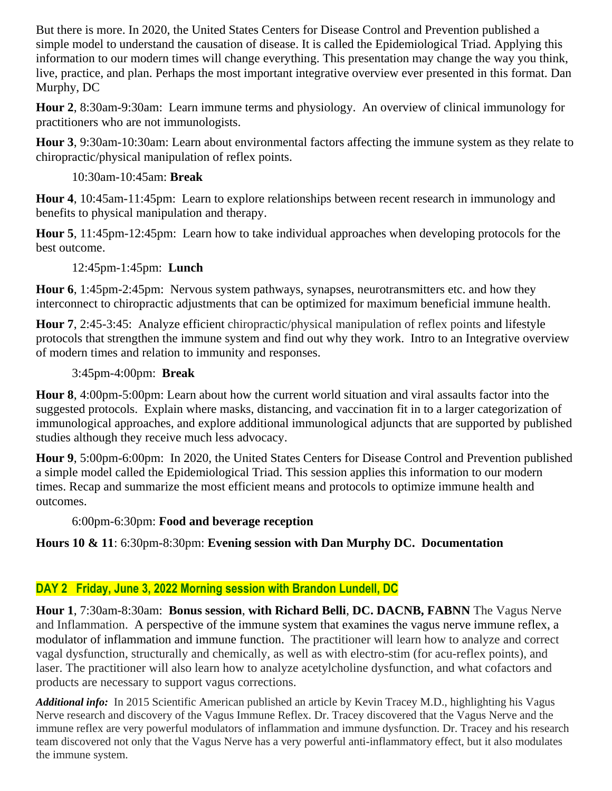But there is more. In 2020, the United States Centers for Disease Control and Prevention published a simple model to understand the causation of disease. It is called the Epidemiological Triad. Applying this information to our modern times will change everything. This presentation may change the way you think, live, practice, and plan. Perhaps the most important integrative overview ever presented in this format. Dan Murphy, DC

**Hour 2**, 8:30am-9:30am: Learn immune terms and physiology. An overview of clinical immunology for practitioners who are not immunologists.

**Hour 3**, 9:30am-10:30am: Learn about environmental factors affecting the immune system as they relate to chiropractic/physical manipulation of reflex points.

#### 10:30am-10:45am: **Break**

**Hour 4**, 10:45am-11:45pm: Learn to explore relationships between recent research in immunology and benefits to physical manipulation and therapy.

**Hour 5**, 11:45pm-12:45pm: Learn how to take individual approaches when developing protocols for the best outcome.

#### 12:45pm-1:45pm: **Lunch**

**Hour 6**, 1:45pm-2:45pm: Nervous system pathways, synapses, neurotransmitters etc. and how they interconnect to chiropractic adjustments that can be optimized for maximum beneficial immune health.

**Hour 7**, 2:45-3:45: Analyze efficient chiropractic/physical manipulation of reflex points and lifestyle protocols that strengthen the immune system and find out why they work. Intro to an Integrative overview of modern times and relation to immunity and responses.

#### 3:45pm-4:00pm: **Break**

**Hour 8**, 4:00pm-5:00pm: Learn about how the current world situation and viral assaults factor into the suggested protocols. Explain where masks, distancing, and vaccination fit in to a larger categorization of immunological approaches, and explore additional immunological adjuncts that are supported by published studies although they receive much less advocacy.

**Hour 9**, 5:00pm-6:00pm: In 2020, the United States Centers for Disease Control and Prevention published a simple model called the Epidemiological Triad. This session applies this information to our modern times. Recap and summarize the most efficient means and protocols to optimize immune health and outcomes.

## 6:00pm-6:30pm: **Food and beverage reception**

## **Hours 10 & 11**: 6:30pm-8:30pm: **Evening session with Dan Murphy DC. Documentation**

## **DAY 2 Friday, June 3, 2022 Morning session with Brandon Lundell, DC**

**Hour 1**, 7:30am-8:30am: **Bonus session**, **with Richard Belli**, **DC. DACNB, FABNN** The Vagus Nerve and Inflammation. A perspective of the immune system that examines the vagus nerve immune reflex, a modulator of inflammation and immune function. The practitioner will learn how to analyze and correct vagal dysfunction, structurally and chemically, as well as with electro-stim (for acu-reflex points), and laser. The practitioner will also learn how to analyze acetylcholine dysfunction, and what cofactors and products are necessary to support vagus corrections.

*Additional info:* In 2015 Scientific American published an article by Kevin Tracey M.D., highlighting his Vagus Nerve research and discovery of the Vagus Immune Reflex. Dr. Tracey discovered that the Vagus Nerve and the immune reflex are very powerful modulators of inflammation and immune dysfunction. Dr. Tracey and his research team discovered not only that the Vagus Nerve has a very powerful anti-inflammatory effect, but it also modulates the immune system.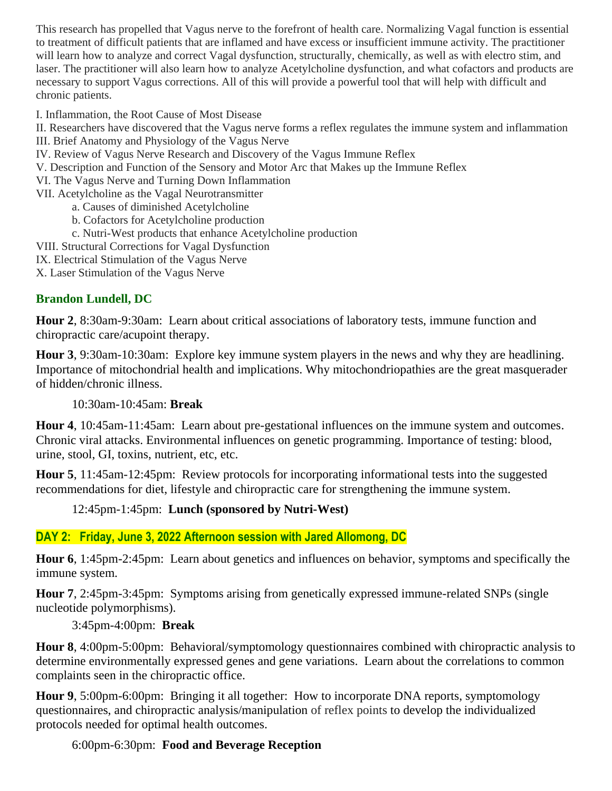This research has propelled that Vagus nerve to the forefront of health care. Normalizing Vagal function is essential to treatment of difficult patients that are inflamed and have excess or insufficient immune activity. The practitioner will learn how to analyze and correct Vagal dysfunction, structurally, chemically, as well as with electro stim, and laser. The practitioner will also learn how to analyze Acetylcholine dysfunction, and what cofactors and products are necessary to support Vagus corrections. All of this will provide a powerful tool that will help with difficult and chronic patients.

I. Inflammation, the Root Cause of Most Disease

- II. Researchers have discovered that the Vagus nerve forms a reflex regulates the immune system and inflammation
- III. Brief Anatomy and Physiology of the Vagus Nerve
- IV. Review of Vagus Nerve Research and Discovery of the Vagus Immune Reflex
- V. Description and Function of the Sensory and Motor Arc that Makes up the Immune Reflex
- VI. The Vagus Nerve and Turning Down Inflammation
- VII. Acetylcholine as the Vagal Neurotransmitter
	- a. Causes of diminished Acetylcholine
	- b. Cofactors for Acetylcholine production
	- c. Nutri-West products that enhance Acetylcholine production
- VIII. Structural Corrections for Vagal Dysfunction
- IX. Electrical Stimulation of the Vagus Nerve
- X. Laser Stimulation of the Vagus Nerve

# **Brandon Lundell, DC**

**Hour 2**, 8:30am-9:30am: Learn about critical associations of laboratory tests, immune function and chiropractic care/acupoint therapy.

**Hour 3**, 9:30am-10:30am: Explore key immune system players in the news and why they are headlining. Importance of mitochondrial health and implications. Why mitochondriopathies are the great masquerader of hidden/chronic illness.

## 10:30am-10:45am: **Break**

**Hour 4**, 10:45am-11:45am: Learn about pre-gestational influences on the immune system and outcomes. Chronic viral attacks. Environmental influences on genetic programming. Importance of testing: blood, urine, stool, GI, toxins, nutrient, etc, etc.

**Hour 5**, 11:45am-12:45pm: Review protocols for incorporating informational tests into the suggested recommendations for diet, lifestyle and chiropractic care for strengthening the immune system.

## 12:45pm-1:45pm: **Lunch (sponsored by Nutri-West)**

# **DAY 2: Friday, June 3, 2022 Afternoon session with Jared Allomong, DC**

**Hour 6**, 1:45pm-2:45pm: Learn about genetics and influences on behavior, symptoms and specifically the immune system.

**Hour 7**, 2:45pm-3:45pm: Symptoms arising from genetically expressed immune-related SNPs (single nucleotide polymorphisms).

## 3:45pm-4:00pm: **Break**

**Hour 8**, 4:00pm-5:00pm: Behavioral/symptomology questionnaires combined with chiropractic analysis to determine environmentally expressed genes and gene variations. Learn about the correlations to common complaints seen in the chiropractic office.

**Hour 9**, 5:00pm-6:00pm: Bringing it all together: How to incorporate DNA reports, symptomology questionnaires, and chiropractic analysis/manipulation of reflex points to develop the individualized protocols needed for optimal health outcomes.

# 6:00pm-6:30pm: **Food and Beverage Reception**